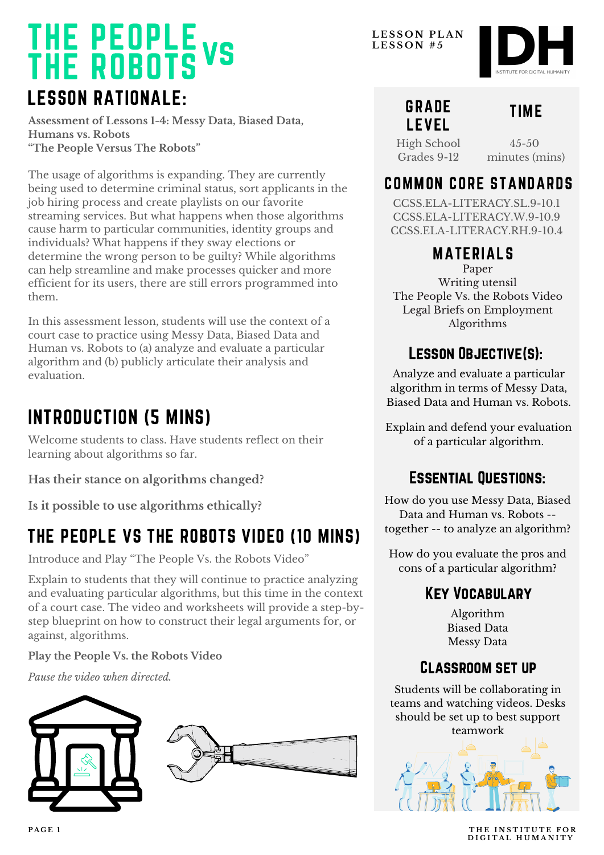### LESSON RATIONALE: THE PEOPLE THE ROBOTS vs

**Assessment of Lessons 1-4: Messy Data, Biased Data, Humans vs. Robots "The People Versus The Robots"**

The usage of algorithms is expanding. They are currently being used to determine criminal status, sort applicants in the job hiring process and create playlists on our favorite streaming services. But what happens when those algorithms cause harm to particular communities, identity groups and individuals? What happens if they sway elections or determine the wrong person to be guilty? While algorithms can help streamline and make processes quicker and more efficient for its users, there are still errors programmed into them.

In this assessment lesson, students will use the context of a court case to practice using Messy Data, Biased Data and Human vs. Robots to (a) analyze and evaluate a particular algorithm and (b) publicly articulate their analysis and evaluation.

## INTRODUCTION (5 MINS)

Welcome students to class. Have students reflect on their learning about algorithms so far.

**Has their stance on algorithms changed?**

**Is it possible to use algorithms ethically?**

## THE PEOPLE VS THE ROBOTS VIDEO (10 MINS)

Introduce and Play "The People Vs. the Robots Video "

Explain to students that they will continue to practice analyzing and evaluating particular algorithms, but this time in the context of a court case. The video and worksheets will provide a step-bystep blueprint on how to construct their legal arguments for, or against, algorithms.

**Play the People Vs. the Robots Video**

*Pause the video when directed.*



**L E S S O N P L A N L E S S O N # 5**

### GRADE LEVEL

### TIME

High School Grades 9-12

 $4.5 - 50$ minutes (mins)

### COMMON CORE STANDARDS

CCSS.ELA-LITERACY.SL.9-10.1 CCSS.ELA-LITERACY.W.9-10.9 CCSS.ELA-LITERACY.RH.9-10.4

### MATERIALS

Paper Writing utensil The People Vs. the Robots Video Legal Briefs on Employment Algorithms

### LESSON OBJECTIVE(S):

Analyze and evaluate a particular algorithm in terms of Messy Data, Biased Data and Human vs. Robots.

Explain and defend your evaluation of a particular algorithm.

### Essential Questions:

How do you use Messy Data, Biased Data and Human vs. Robots - together -- to analyze an algorithm?

How do you evaluate the pros and cons of a particular algorithm?

### Key Vocabulary

Algorithm Biased Data Messy Data

### Classroom set up

Students will be collaborating in teams and watching videos. Desks should be set up to best support



**PAGE 1 THE INSTITUTE FOR D I G I T A L H U M A N I T Y**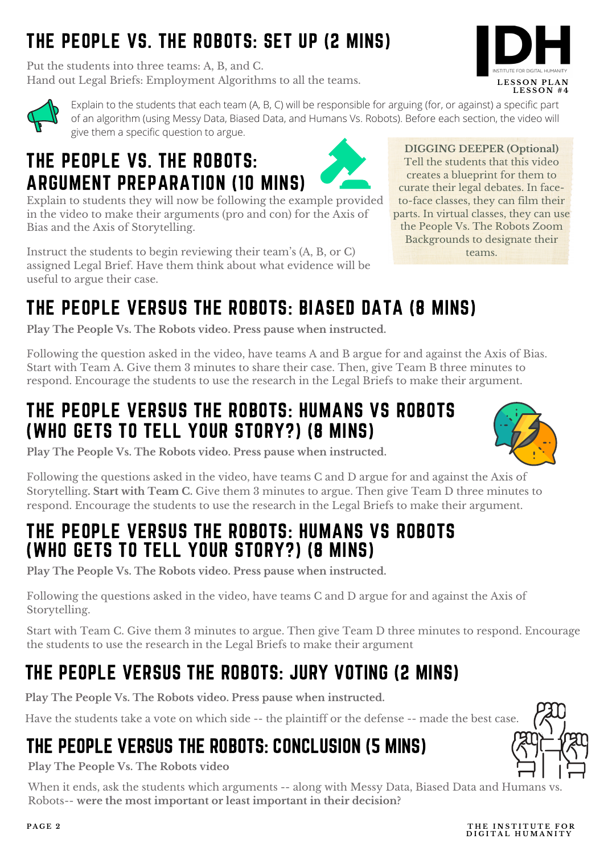## THE PEOPLE VS. THE ROBOTS: SET UP (2 MINS)

Put the students into three teams: A, B, and C. Hand out Legal Briefs: Employment Algorithms to all the teams.





Explain to the students that each team (A, B, C) will be responsible for arguing (for, or against) a specific part of an algorithm (using Messy Data, Biased Data, and Humans Vs. Robots). Before each section, the video will give them a specific question to argue.

## THE PEOPLE VS. THE ROBOTS: ARGUMENT PREPARATION (10 MINS)

Explain to students they will now be following the example provided in the video to make their arguments (pro and con) for the Axis of Bias and the Axis of Storytelling.

Instruct the students to begin reviewing their team ' s (A, B, or C) assigned Legal Brief. Have them think about what evidence will be useful to argue their case.

**DIGGING DEEPER (Optional)** Tell the students that this video creates a blueprint for them to curate their legal debates. In faceto-face classes, they can film their parts. In virtual classes, they can use the People Vs. The Robots Zoom Backgrounds to designate their teams.

## THE PEOPLE VERSUS THE ROBOTS: BIASED DATA (8 MINS)

**Play The People Vs. The Robots video. Press pause when instructed.**

Following the question asked in the video, have teams A and B argue for and against the Axis of Bias. Start with Team A. Give them 3 minutes to share their case. Then, give Team B three minutes to respond. Encourage the students to use the research in the Legal Briefs to make their argument.

## THE PEOPLE VERSUS THE ROBOTS: HUMANS VS ROBOTS (WHO GETS TO TELL YOUR STORY?) (8 MINS)



**Play The People Vs. The Robots video. Press pause when instructed.**

Following the questions asked in the video, have teams C and D argue for and against the Axis of Storytelling**. Start with Team C.** Give them 3 minutes to argue. Then give Team D three minutes to respond. Encourage the students to use the research in the Legal Briefs to make their argument.

### THE PEOPLE VERSUS THE ROBOTS: HUMANS VS ROBOTS (WHO GETS TO TELL YOUR STORY?) (8 MINS)

**Play The People Vs. The Robots video. Press pause when instructed.**

Following the questions asked in the video, have teams C and D argue for and against the Axis of Storytelling.

Start with Team C. Give them 3 minutes to argue. Then give Team D three minutes to respond. Encourage the students to use the research in the Legal Briefs to make their argument

## THE PEOPLE VERSUS THE ROBOTS: JURY VOTING (2 MINS)

**Play The People Vs. The Robots video. Press pause when instructed.**

Have the students take a vote on which side -- the plaintiff or the defense -- made the best case

## THE PEOPLE VERSUS THE ROBOTS: CONCLUSION (5 MINS)

**Play The People Vs. The Robots video**

When it ends, ask the students which arguments -- along with Messy Data, Biased Data and Humans vs. Robots-- **were the most important or least important in their decision?**

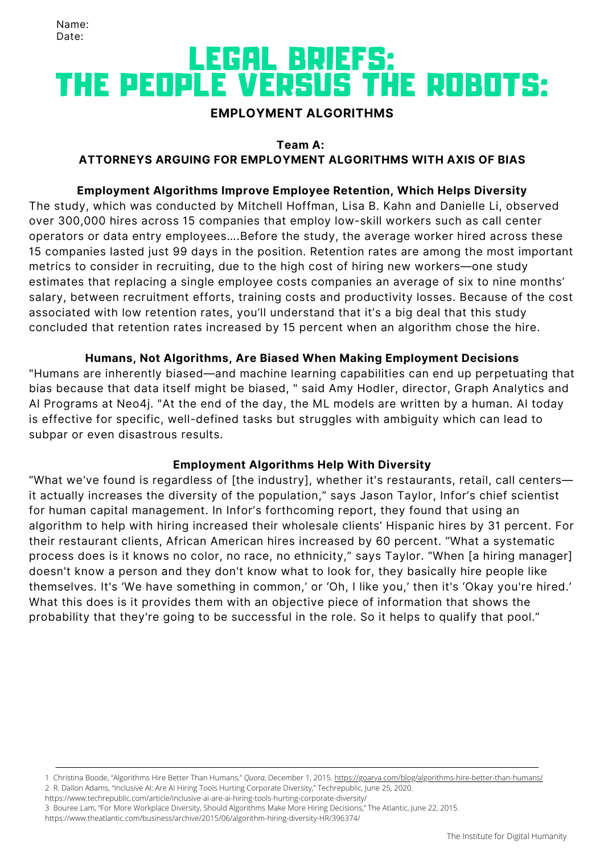## LEGAL BRIEFS: THE PEOPLE VERSUS THE ROBOTS:

#### **EMPLOYMENT ALGORITHMS**

#### **Team A:**

#### **ATTORNEYS ARGUING FOR EMPLOYMENT ALGORITHMS WITH AXIS OF BIAS**

#### **Employment Algorithms Improve Employee Retention, Which Helps Diversity**

The study, which was conducted by Mitchell Hoffman, Lisa B. Kahn and Danielle Li, observed over 300,000 hires across 15 companies that employ low-skill workers such as call center operators or data entry employees….Before the study, the average worker hired across these 15 companies lasted just 99 days in the position. Retention rates are among the most important metrics to consider in recruiting, due to the high cost of hiring new workers—one study estimates that replacing a single employee costs companies an average of six to nine months' salary, between recruitment efforts, training costs and productivity losses. Because of the cost associated with low retention rates, you'll understand that it's a big deal that this study concluded that retention rates increased by 15 percent when an algorithm chose the hire.

#### **Humans, Not Algorithms, Are Biased When Making Employment Decisions**

"Humans are inherently biased—and machine learning capabilities can end up perpetuating that bias because that data itself might be biased, " said Amy Hodler, director, Graph Analytics and AI Programs at Neo4j. "At the end of the day, the ML models are written by a human. AI today is effective for specific, well-defined tasks but struggles with ambiguity which can lead to subpar or even disastrous results.

#### **Employment Algorithms Help With Diversity**

"What we've found is regardless of [the industry], whether it's restaurants, retail, call centers it actually increases the diversity of the population," says Jason Taylor, Infor's chief scientist for human capital management. In Infor's forthcoming report, they found that using an algorithm to help with hiring increased their wholesale clients' Hispanic hires by 31 percent. For their restaurant clients, African American hires increased by 60 percent. "What a systematic process does is it knows no color, no race, no ethnicity," says Taylor. "When [a hiring manager] doesn't know a person and they don't know what to look for, they basically hire people like themselves. It's 'We have something in common,' or 'Oh, I like you,' then it's 'Okay you're hired.' What this does is it provides them with an objective piece of information that shows the probability that they're going to be successful in the role. So it helps to qualify that pool."

<https://www.techrepublic.com/article/inclusive-ai-are-ai-hiring-tools-hurting-corporate-diversity/>

<https://www.theatlantic.com/business/archive/2015/06/algorithm-hiring-diversity-HR/396374/>

<sup>1</sup> Christina Boode, "Algorithms Hire Better Than Humans," *Quora*, December 1, 2015. <https://goarya.com/blog/algorithms-hire-better-than-humans/> 2 R. Dallon Adams, "Inclusive AI: Are AI Hiring Tools Hurting Corporate Diversity," Techrepublic, June 25, 2020.

<sup>3</sup> Bouree Lam, "For More Workplace Diversity, Should Algorithms Make More Hiring Decisions," The Atlantic, June 22, 2015.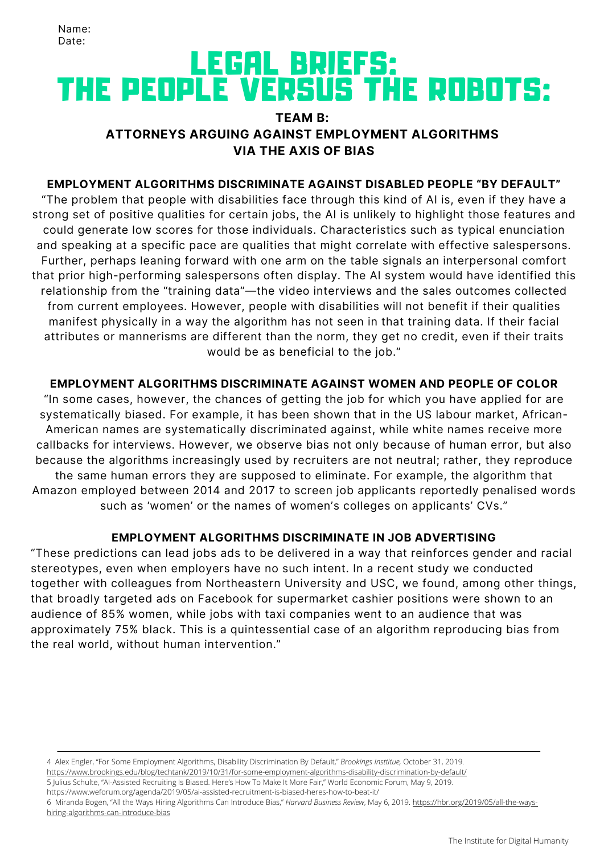## LEGAL BRIEFS: THE PEOPLE VERSUS THE ROBOTS:

#### **TEAM B: ATTORNEYS ARGUING AGAINST EMPLOYMENT ALGORITHMS VIA THE AXIS OF BIAS**

#### **EMPLOYMENT ALGORITHMS DISCRIMINATE AGAINST DISABLED PEOPLE "BY DEFAULT"**

"The problem that people with disabilities face through this kind of AI is, even if they have a strong set of positive qualities for certain jobs, the AI is unlikely to highlight those features and could generate low scores for those individuals. Characteristics such as typical enunciation and speaking at a specific pace are qualities that might correlate with effective salespersons. Further, perhaps leaning forward with one arm on the table signals an interpersonal comfort that prior high-performing salespersons often display. The AI system would have identified this relationship from the "training data"—the video interviews and the sales outcomes collected from current employees. However, people with disabilities will not benefit if their qualities manifest physically in a way the algorithm has not seen in that training data. If their facial attributes or mannerisms are different than the norm, they get no credit, even if their traits would be as beneficial to the job."

#### **EMPLOYMENT ALGORITHMS DISCRIMINATE AGAINST WOMEN AND PEOPLE OF COLOR**

"In some cases, however, the chances of getting the job for which you have applied for are systematically biased. For example, it has been shown that in the US labour market, African-American names are [systematically](https://www.nber.org/papers/w9873) discriminated against, while white names receive more callbacks for interviews. However, we observe bias not only because of human error, but also because the algorithms increasingly used by recruiters are not neutral; rather, they reproduce the same human errors they are supposed to eliminate. For example, the algorithm that Amazon employed between 2014 and 2017 to screen job applicants reportedly penalised words such as 'women' or the names of women's colleges on [applicants'](https://www.reuters.com/article/us-amazon-com-jobs-automation-insight/amazon-scraps-secret-ai-recruiting-tool-that-showed-bias-against-women-idUSKCN1MK08G) CVs."

#### **EMPLOYMENT ALGORITHMS DISCRIMINATE IN JOB ADVERTISING**

"These predictions can lead jobs ads to be delivered in a way that reinforces gender and racial stereotypes, even when employers have no such intent. In a recent study we conducted together with colleagues from Northeastern University and USC, we found, among other things, that broadly targeted ads on Facebook for supermarket cashier positions were shown to an audience of 85% women, while jobs with taxi companies went to an audience that was approximately 75% black. This is a quintessential case of an algorithm reproducing bias from the real world, without human intervention."

4 Alex Engler, "For Some Employment Algorithms, Disability Discrimination By Default," *Brookings Insttitue,* October 31, 2019. <https://www.brookings.edu/blog/techtank/2019/10/31/for-some-employment-algorithms-disability-discrimination-by-default/>

<https://www.weforum.org/agenda/2019/05/ai-assisted-recruitment-is-biased-heres-how-to-beat-it/>

[6 Miranda Bogen, "All the Ways Hiring Algorithms Can Introduce Bias,"](https://hbr.org/2019/05/all-the-ways-hiring-algorithms-can-introduce-bias) *Harvard Business Review*, May 6, 2019. https://hbr.org/2019/05/all-the-wayshiring-algorithms-can-introduce-bias

<sup>5</sup> Julius Schulte, "AI-Assisted Recruiting Is Biased. Here's How To Make It More Fair," World Economic Forum, May 9, 2019.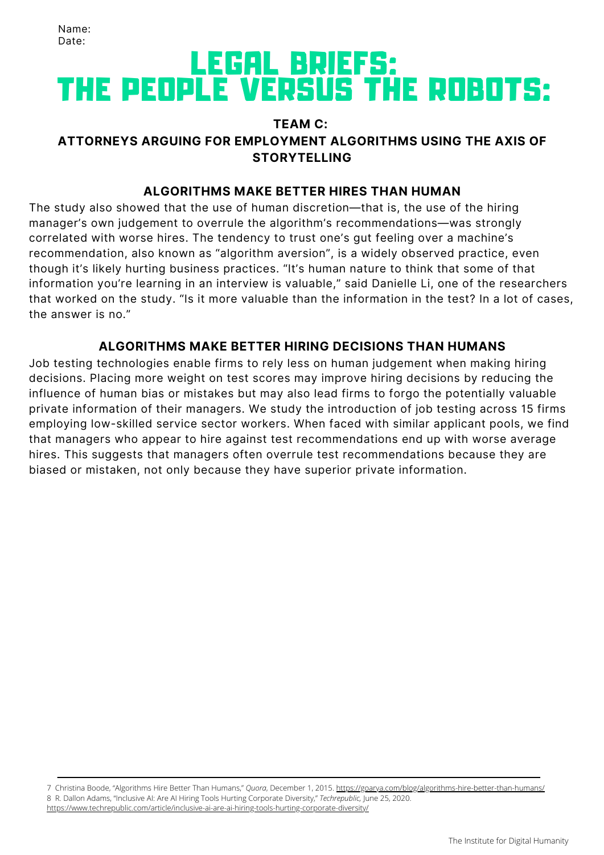## LEGAL BRIEFS: THE PEOPLE VERSUS THE ROBOTS:

#### **TEAM C: ATTORNEYS ARGUING FOR EMPLOYMENT ALGORITHMS USING THE AXIS OF STORYTELLING**

#### **ALGORITHMS MAKE BETTER HIRES THAN HUMAN**

The study also showed that the use of human discretion—that is, the use of the hiring manager's own judgement to overrule the algorithm's recommendations—was strongly correlated with worse hires. The tendency to trust one's gut feeling over a machine's recommendation, also known as "algorithm aversion", is a widely observed practice, even though it's likely hurting business practices. "It's human nature to think that some of that information you're learning in an interview is valuable," said Danielle Li, one of the researchers that worked on the study. "Is it more valuable than the information in the test? In a lot of cases, the answer is no."

#### **ALGORITHMS MAKE BETTER HIRING DECISIONS THAN HUMANS**

Job testing technologies enable firms to rely less on human judgement when making hiring decisions. Placing more weight on test scores may improve hiring decisions by reducing the influence of human bias or mistakes but may also lead firms to forgo the potentially valuable private information of their managers. We study the introduction of job testing across 15 firms employing low-skilled service sector workers. When faced with similar applicant pools, we find that managers who appear to hire against test recommendations end up with worse average hires. This suggests that managers often overrule test recommendations because they are biased or mistaken, not only because they have superior private information.

7 Christina Boode, "Algorithms Hire Better Than Humans," *Quora*, December 1, 2015. <https://goarya.com/blog/algorithms-hire-better-than-humans/> 8 R. Dallon Adams, "Inclusive AI: Are AI Hiring Tools Hurting Corporate Diversity," *Techrepublic,* June 25, 2020.

<https://www.techrepublic.com/article/inclusive-ai-are-ai-hiring-tools-hurting-corporate-diversity/>